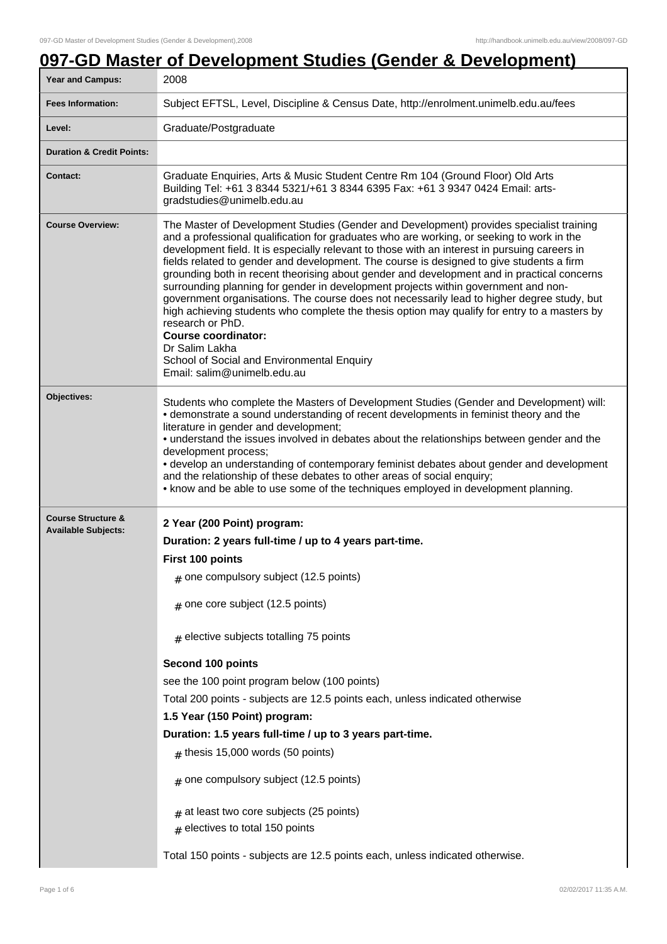## **097-GD Master of Development Studies (Gender & Development)**

| <b>Year and Campus:</b>                                     | 2008                                                                                                                                                                                                                                                                                                                                                                                                                                                                                                                                                                                                                                                                                                                                                                                                                                                                                                                 |
|-------------------------------------------------------------|----------------------------------------------------------------------------------------------------------------------------------------------------------------------------------------------------------------------------------------------------------------------------------------------------------------------------------------------------------------------------------------------------------------------------------------------------------------------------------------------------------------------------------------------------------------------------------------------------------------------------------------------------------------------------------------------------------------------------------------------------------------------------------------------------------------------------------------------------------------------------------------------------------------------|
| <b>Fees Information:</b>                                    | Subject EFTSL, Level, Discipline & Census Date, http://enrolment.unimelb.edu.au/fees                                                                                                                                                                                                                                                                                                                                                                                                                                                                                                                                                                                                                                                                                                                                                                                                                                 |
| Level:                                                      | Graduate/Postgraduate                                                                                                                                                                                                                                                                                                                                                                                                                                                                                                                                                                                                                                                                                                                                                                                                                                                                                                |
| <b>Duration &amp; Credit Points:</b>                        |                                                                                                                                                                                                                                                                                                                                                                                                                                                                                                                                                                                                                                                                                                                                                                                                                                                                                                                      |
| <b>Contact:</b>                                             | Graduate Enquiries, Arts & Music Student Centre Rm 104 (Ground Floor) Old Arts<br>Building Tel: +61 3 8344 5321/+61 3 8344 6395 Fax: +61 3 9347 0424 Email: arts-<br>gradstudies@unimelb.edu.au                                                                                                                                                                                                                                                                                                                                                                                                                                                                                                                                                                                                                                                                                                                      |
| <b>Course Overview:</b>                                     | The Master of Development Studies (Gender and Development) provides specialist training<br>and a professional qualification for graduates who are working, or seeking to work in the<br>development field. It is especially relevant to those with an interest in pursuing careers in<br>fields related to gender and development. The course is designed to give students a firm<br>grounding both in recent theorising about gender and development and in practical concerns<br>surrounding planning for gender in development projects within government and non-<br>government organisations. The course does not necessarily lead to higher degree study, but<br>high achieving students who complete the thesis option may qualify for entry to a masters by<br>research or PhD.<br><b>Course coordinator:</b><br>Dr Salim Lakha<br>School of Social and Environmental Enquiry<br>Email: salim@unimelb.edu.au |
| Objectives:                                                 | Students who complete the Masters of Development Studies (Gender and Development) will:<br>• demonstrate a sound understanding of recent developments in feminist theory and the<br>literature in gender and development;<br>• understand the issues involved in debates about the relationships between gender and the<br>development process;<br>• develop an understanding of contemporary feminist debates about gender and development<br>and the relationship of these debates to other areas of social enquiry;<br>• know and be able to use some of the techniques employed in development planning.                                                                                                                                                                                                                                                                                                         |
| <b>Course Structure &amp;</b><br><b>Available Subjects:</b> | 2 Year (200 Point) program:<br>Duration: 2 years full-time / up to 4 years part-time.<br>First 100 points<br>$#$ one compulsory subject (12.5 points)<br>$#$ one core subject (12.5 points)<br>$#$ elective subjects totalling 75 points<br>Second 100 points<br>see the 100 point program below (100 points)<br>Total 200 points - subjects are 12.5 points each, unless indicated otherwise<br>1.5 Year (150 Point) program:<br>Duration: 1.5 years full-time / up to 3 years part-time.<br>$#$ thesis 15,000 words (50 points)<br>$#$ one compulsory subject (12.5 points)<br>at least two core subjects (25 points)<br>$#$ electives to total 150 points<br>Total 150 points - subjects are 12.5 points each, unless indicated otherwise.                                                                                                                                                                        |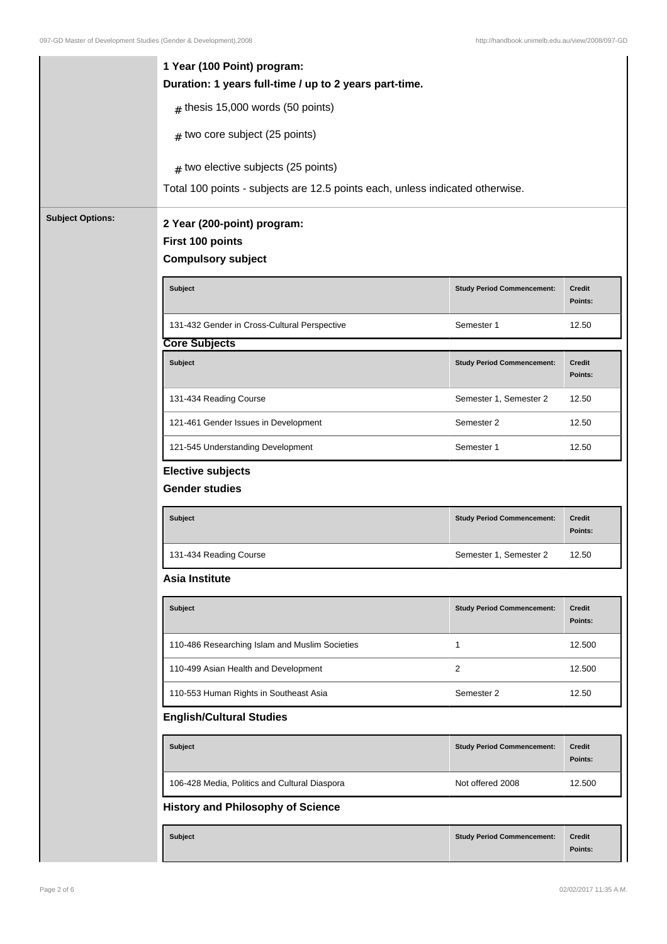|                         | 1 Year (100 Point) program:<br>Duration: 1 years full-time / up to 2 years part-time. |                                   |                          |
|-------------------------|---------------------------------------------------------------------------------------|-----------------------------------|--------------------------|
|                         | $#$ thesis 15,000 words (50 points)                                                   |                                   |                          |
|                         | $#$ two core subject (25 points)                                                      |                                   |                          |
|                         | $#$ two elective subjects (25 points)                                                 |                                   |                          |
|                         | Total 100 points - subjects are 12.5 points each, unless indicated otherwise.         |                                   |                          |
| <b>Subject Options:</b> | 2 Year (200-point) program:<br>First 100 points                                       |                                   |                          |
|                         | <b>Compulsory subject</b>                                                             |                                   |                          |
|                         | <b>Subject</b>                                                                        | <b>Study Period Commencement:</b> | Credit<br>Points:        |
|                         | 131-432 Gender in Cross-Cultural Perspective                                          | Semester 1                        | 12.50                    |
|                         | <b>Core Subjects</b>                                                                  |                                   |                          |
|                         | <b>Subject</b>                                                                        | <b>Study Period Commencement:</b> | Credit<br>Points:        |
|                         | 131-434 Reading Course                                                                | Semester 1, Semester 2            | 12.50                    |
|                         | 121-461 Gender Issues in Development                                                  | Semester 2                        | 12.50                    |
|                         | 121-545 Understanding Development                                                     | Semester 1                        | 12.50                    |
|                         | <b>Elective subjects</b><br><b>Gender studies</b>                                     |                                   |                          |
|                         | <b>Subject</b>                                                                        | <b>Study Period Commencement:</b> | <b>Credit</b><br>Points: |
|                         | 131-434 Reading Course                                                                | Semester 1, Semester 2            | 12.50                    |
|                         | <b>Asia Institute</b>                                                                 |                                   |                          |
|                         | Subject                                                                               | <b>Study Period Commencement:</b> | <b>Credit</b><br>Points: |
|                         | 110-486 Researching Islam and Muslim Societies                                        | 1                                 | 12.500                   |
|                         | 110-499 Asian Health and Development                                                  | 2                                 | 12.500                   |
|                         | 110-553 Human Rights in Southeast Asia                                                | Semester 2                        | 12.50                    |
|                         | <b>English/Cultural Studies</b>                                                       |                                   |                          |
|                         | <b>Subject</b>                                                                        | <b>Study Period Commencement:</b> | Credit<br>Points:        |
|                         | 106-428 Media, Politics and Cultural Diaspora                                         | Not offered 2008                  | 12.500                   |
|                         | <b>History and Philosophy of Science</b>                                              |                                   |                          |
|                         | Subject                                                                               | <b>Study Period Commencement:</b> | <b>Credit</b><br>Points: |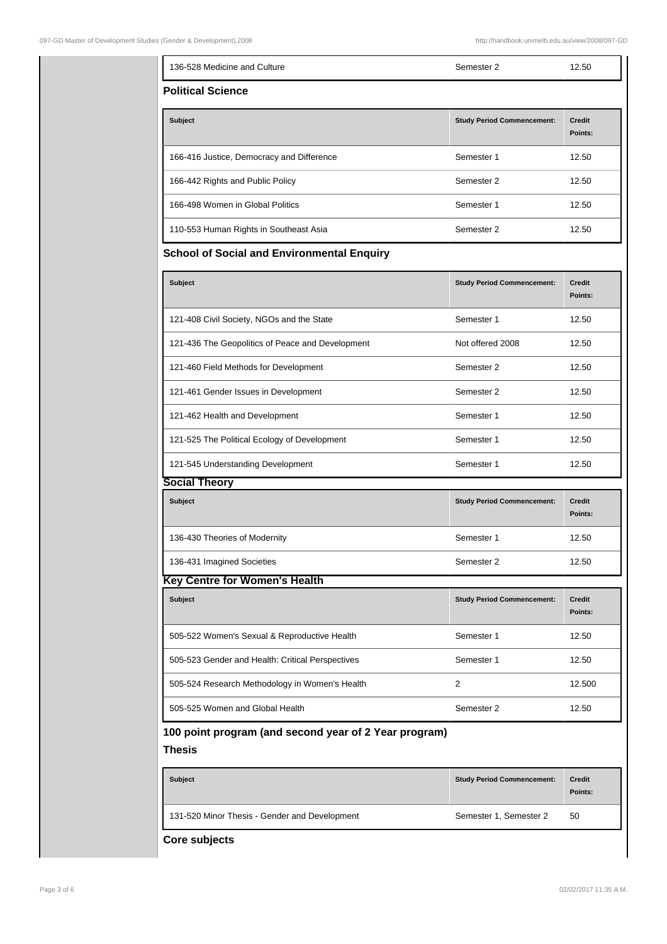| 136-528 Medicine and Culture                      | Semester 2                        | 12.50             |
|---------------------------------------------------|-----------------------------------|-------------------|
| <b>Political Science</b>                          |                                   |                   |
| <b>Subject</b>                                    | <b>Study Period Commencement:</b> | Credit<br>Points: |
| 166-416 Justice, Democracy and Difference         | Semester 1                        | 12.50             |
| 166-442 Rights and Public Policy                  | Semester 2                        | 12.50             |
| 166-498 Women in Global Politics                  | Semester 1                        | 12.50             |
| 110-553 Human Rights in Southeast Asia            | Semester 2                        | 12.50             |
| <b>School of Social and Environmental Enquiry</b> |                                   |                   |
|                                                   |                                   |                   |
| <b>Subject</b>                                    | <b>Study Period Commencement:</b> | Credit<br>Points: |
| 121-408 Civil Society, NGOs and the State         | Semester 1                        | 12.50             |
| 121-436 The Geopolitics of Peace and Development  | Not offered 2008                  | 12.50             |
| 121-460 Field Methods for Development             | Semester 2                        | 12.50             |

| <b>Subject</b>                                                  | <b>Study Period Commencement:</b> | <b>Credit</b><br>Points: |
|-----------------------------------------------------------------|-----------------------------------|--------------------------|
| 121-408 Civil Society, NGOs and the State                       | Semester 1                        | 12.50                    |
| 121-436 The Geopolitics of Peace and Development                | Not offered 2008                  | 12.50                    |
| 121-460 Field Methods for Development                           | Semester 2                        | 12.50                    |
| 121-461 Gender Issues in Development                            | Semester 2                        | 12.50                    |
| 121-462 Health and Development                                  | Semester 1                        | 12.50                    |
| 121-525 The Political Ecology of Development                    | Semester 1                        | 12.50                    |
| 121-545 Understanding Development                               | Semester 1                        | 12.50                    |
| <b>Social Theory</b>                                            |                                   |                          |
| <b>Subject</b>                                                  | <b>Study Period Commencement:</b> | <b>Credit</b><br>Points: |
| 136-430 Theories of Modernity                                   | Semester 1                        | 12.50                    |
| 136-431 Imagined Societies                                      | Semester 2                        | 12.50                    |
| <b>Key Centre for Women's Health</b>                            |                                   |                          |
| <b>Subject</b>                                                  | <b>Study Period Commencement:</b> | Credit<br>Points:        |
| 505-522 Women's Sexual & Reproductive Health                    | Semester 1                        | 12.50                    |
| 505-523 Gender and Health: Critical Perspectives                | Semester 1                        | 12.50                    |
| 505-524 Research Methodology in Women's Health                  | 2                                 | 12.500                   |
| 505-525 Women and Global Health                                 | Semester 2                        | 12.50                    |
| 100 point program (and second year of 2 Year program)<br>Thesis |                                   |                          |
| <b>Subject</b>                                                  | <b>Study Period Commencement:</b> | <b>Credit</b><br>Points: |

| <b>Subject</b>                                | <b>Study Period Commencement:</b> | <b>Credit</b><br>Points: |
|-----------------------------------------------|-----------------------------------|--------------------------|
| 131-520 Minor Thesis - Gender and Development | Semester 1, Semester 2            | 50                       |

**Core subjects**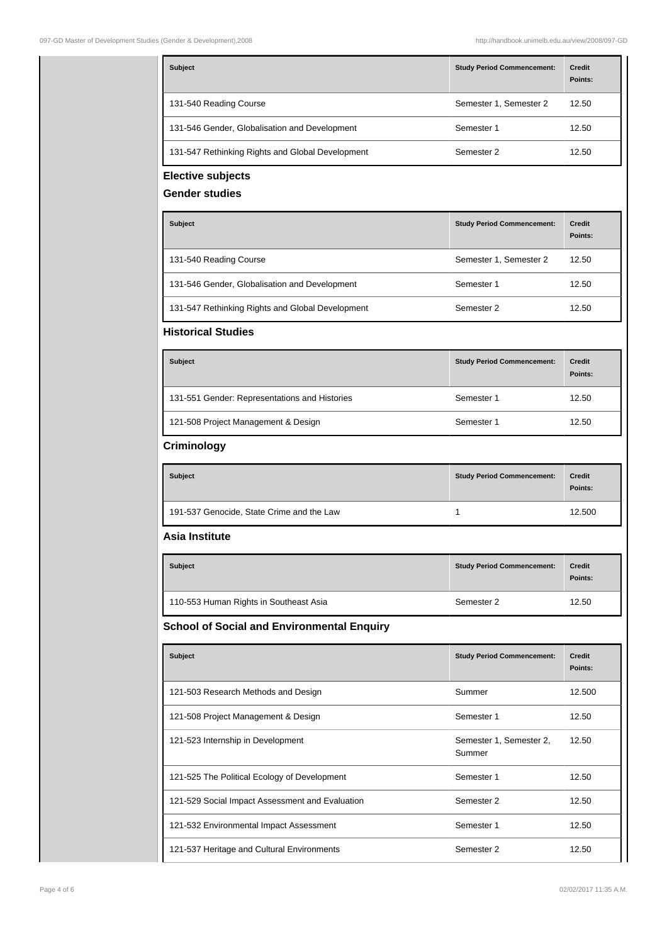| <b>Subject</b>                                    | <b>Study Period Commencement:</b> | <b>Credit</b><br>Points: |
|---------------------------------------------------|-----------------------------------|--------------------------|
| 131-540 Reading Course                            | Semester 1, Semester 2            | 12.50                    |
| 131-546 Gender, Globalisation and Development     | Semester 1                        | 12.50                    |
| 131-547 Rethinking Rights and Global Development  | Semester 2                        | 12.50                    |
| <b>Elective subjects</b><br><b>Gender studies</b> |                                   |                          |
| <b>Subject</b>                                    | <b>Study Period Commencement:</b> | Credit<br>Points:        |
| 131-540 Reading Course                            | Semester 1, Semester 2            | 12.50                    |
| 131-546 Gender, Globalisation and Development     | Semester 1                        | 12.50                    |
| 131-547 Rethinking Rights and Global Development  | Semester 2                        | 12.50                    |
| <b>Historical Studies</b>                         |                                   |                          |
| <b>Subject</b>                                    | <b>Study Period Commencement:</b> | Credit<br>Points:        |
| 131-551 Gender: Representations and Histories     | Semester 1                        | 12.50                    |
| 121-508 Project Management & Design               | Semester 1                        | 12.50                    |
| Criminology                                       |                                   |                          |
| <b>Subject</b>                                    | <b>Study Period Commencement:</b> | Credit<br>Points:        |
| 191-537 Genocide, State Crime and the Law         | 1                                 | 12.500                   |
| Asia Institute                                    |                                   |                          |
| <b>Subject</b>                                    | <b>Study Period Commencement:</b> | Credit<br>Points:        |
| 110-553 Human Rights in Southeast Asia            | Semester 2                        | 12.50                    |
| <b>School of Social and Environmental Enquiry</b> |                                   |                          |
| <b>Subject</b>                                    | <b>Study Period Commencement:</b> | <b>Credit</b><br>Points: |
| 121-503 Research Methods and Design               | Summer                            | 12.500                   |
| 121-508 Project Management & Design               | Semester 1                        | 12.50                    |
| 121-523 Internship in Development                 | Semester 1, Semester 2,<br>Summer | 12.50                    |
| 121-525 The Political Ecology of Development      | Semester 1                        | 12.50                    |
|                                                   |                                   |                          |
| 121-529 Social Impact Assessment and Evaluation   | Semester 2                        | 12.50                    |
| 121-532 Environmental Impact Assessment           | Semester 1                        | 12.50                    |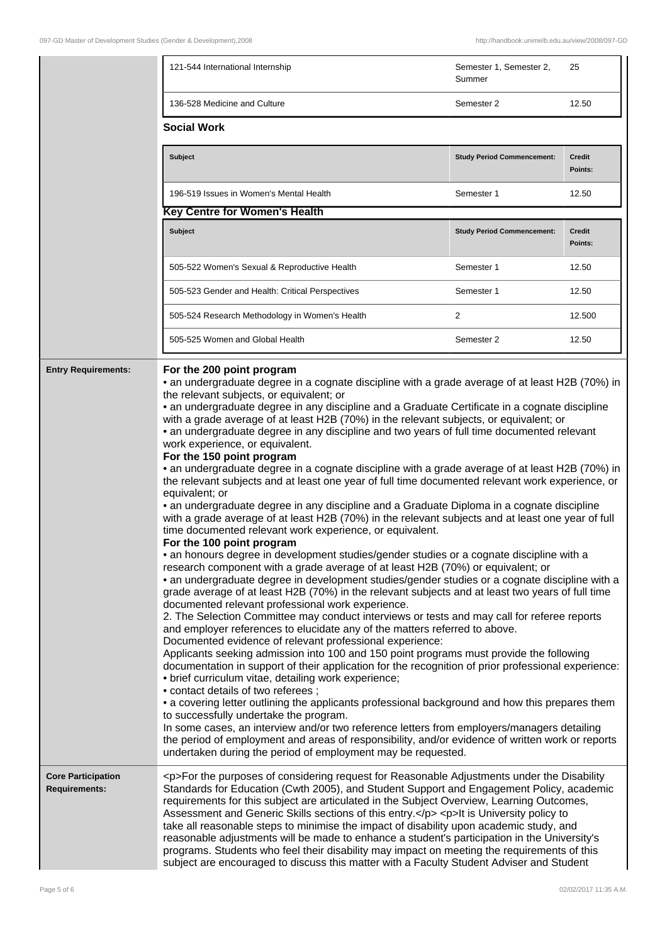|                                                   | 121-544 International Internship                                                                                                                                                                                                                                                                                                                                                                                                                                                                                                                                                                                                                                                                                                                                                                                                                                                                                                                                                                                                                                                                                                                                                                                                                                                                                                                                                                                                                                                                                                                                                                                                                                                                                                                                                                                                                                                                                                                                                                                                                                                                                                                                                                                                                                                                                                                                                                                                                          | Semester 1, Semester 2,<br>Summer | 25                       |
|---------------------------------------------------|-----------------------------------------------------------------------------------------------------------------------------------------------------------------------------------------------------------------------------------------------------------------------------------------------------------------------------------------------------------------------------------------------------------------------------------------------------------------------------------------------------------------------------------------------------------------------------------------------------------------------------------------------------------------------------------------------------------------------------------------------------------------------------------------------------------------------------------------------------------------------------------------------------------------------------------------------------------------------------------------------------------------------------------------------------------------------------------------------------------------------------------------------------------------------------------------------------------------------------------------------------------------------------------------------------------------------------------------------------------------------------------------------------------------------------------------------------------------------------------------------------------------------------------------------------------------------------------------------------------------------------------------------------------------------------------------------------------------------------------------------------------------------------------------------------------------------------------------------------------------------------------------------------------------------------------------------------------------------------------------------------------------------------------------------------------------------------------------------------------------------------------------------------------------------------------------------------------------------------------------------------------------------------------------------------------------------------------------------------------------------------------------------------------------------------------------------------------|-----------------------------------|--------------------------|
|                                                   | 136-528 Medicine and Culture                                                                                                                                                                                                                                                                                                                                                                                                                                                                                                                                                                                                                                                                                                                                                                                                                                                                                                                                                                                                                                                                                                                                                                                                                                                                                                                                                                                                                                                                                                                                                                                                                                                                                                                                                                                                                                                                                                                                                                                                                                                                                                                                                                                                                                                                                                                                                                                                                              | Semester 2                        | 12.50                    |
|                                                   | <b>Social Work</b>                                                                                                                                                                                                                                                                                                                                                                                                                                                                                                                                                                                                                                                                                                                                                                                                                                                                                                                                                                                                                                                                                                                                                                                                                                                                                                                                                                                                                                                                                                                                                                                                                                                                                                                                                                                                                                                                                                                                                                                                                                                                                                                                                                                                                                                                                                                                                                                                                                        |                                   |                          |
|                                                   | <b>Subject</b>                                                                                                                                                                                                                                                                                                                                                                                                                                                                                                                                                                                                                                                                                                                                                                                                                                                                                                                                                                                                                                                                                                                                                                                                                                                                                                                                                                                                                                                                                                                                                                                                                                                                                                                                                                                                                                                                                                                                                                                                                                                                                                                                                                                                                                                                                                                                                                                                                                            | <b>Study Period Commencement:</b> | <b>Credit</b><br>Points: |
|                                                   | 196-519 Issues in Women's Mental Health                                                                                                                                                                                                                                                                                                                                                                                                                                                                                                                                                                                                                                                                                                                                                                                                                                                                                                                                                                                                                                                                                                                                                                                                                                                                                                                                                                                                                                                                                                                                                                                                                                                                                                                                                                                                                                                                                                                                                                                                                                                                                                                                                                                                                                                                                                                                                                                                                   | Semester 1                        | 12.50                    |
|                                                   | <b>Key Centre for Women's Health</b>                                                                                                                                                                                                                                                                                                                                                                                                                                                                                                                                                                                                                                                                                                                                                                                                                                                                                                                                                                                                                                                                                                                                                                                                                                                                                                                                                                                                                                                                                                                                                                                                                                                                                                                                                                                                                                                                                                                                                                                                                                                                                                                                                                                                                                                                                                                                                                                                                      |                                   |                          |
|                                                   | <b>Subject</b>                                                                                                                                                                                                                                                                                                                                                                                                                                                                                                                                                                                                                                                                                                                                                                                                                                                                                                                                                                                                                                                                                                                                                                                                                                                                                                                                                                                                                                                                                                                                                                                                                                                                                                                                                                                                                                                                                                                                                                                                                                                                                                                                                                                                                                                                                                                                                                                                                                            | <b>Study Period Commencement:</b> | Credit<br>Points:        |
|                                                   | 505-522 Women's Sexual & Reproductive Health                                                                                                                                                                                                                                                                                                                                                                                                                                                                                                                                                                                                                                                                                                                                                                                                                                                                                                                                                                                                                                                                                                                                                                                                                                                                                                                                                                                                                                                                                                                                                                                                                                                                                                                                                                                                                                                                                                                                                                                                                                                                                                                                                                                                                                                                                                                                                                                                              | Semester 1                        | 12.50                    |
|                                                   | 505-523 Gender and Health: Critical Perspectives                                                                                                                                                                                                                                                                                                                                                                                                                                                                                                                                                                                                                                                                                                                                                                                                                                                                                                                                                                                                                                                                                                                                                                                                                                                                                                                                                                                                                                                                                                                                                                                                                                                                                                                                                                                                                                                                                                                                                                                                                                                                                                                                                                                                                                                                                                                                                                                                          | Semester 1                        | 12.50                    |
|                                                   | 505-524 Research Methodology in Women's Health                                                                                                                                                                                                                                                                                                                                                                                                                                                                                                                                                                                                                                                                                                                                                                                                                                                                                                                                                                                                                                                                                                                                                                                                                                                                                                                                                                                                                                                                                                                                                                                                                                                                                                                                                                                                                                                                                                                                                                                                                                                                                                                                                                                                                                                                                                                                                                                                            | 2                                 | 12.500                   |
|                                                   | 505-525 Women and Global Health                                                                                                                                                                                                                                                                                                                                                                                                                                                                                                                                                                                                                                                                                                                                                                                                                                                                                                                                                                                                                                                                                                                                                                                                                                                                                                                                                                                                                                                                                                                                                                                                                                                                                                                                                                                                                                                                                                                                                                                                                                                                                                                                                                                                                                                                                                                                                                                                                           | Semester 2                        | 12.50                    |
|                                                   | For the 200 point program<br>• an undergraduate degree in a cognate discipline with a grade average of at least H2B (70%) in<br>the relevant subjects, or equivalent; or<br>• an undergraduate degree in any discipline and a Graduate Certificate in a cognate discipline<br>with a grade average of at least H2B (70%) in the relevant subjects, or equivalent; or<br>• an undergraduate degree in any discipline and two years of full time documented relevant<br>work experience, or equivalent.<br>For the 150 point program<br>• an undergraduate degree in a cognate discipline with a grade average of at least H2B (70%) in<br>the relevant subjects and at least one year of full time documented relevant work experience, or<br>equivalent; or<br>• an undergraduate degree in any discipline and a Graduate Diploma in a cognate discipline<br>with a grade average of at least H2B (70%) in the relevant subjects and at least one year of full<br>time documented relevant work experience, or equivalent.<br>For the 100 point program<br>· an honours degree in development studies/gender studies or a cognate discipline with a<br>research component with a grade average of at least H2B (70%) or equivalent; or<br>• an undergraduate degree in development studies/gender studies or a cognate discipline with a<br>grade average of at least H2B (70%) in the relevant subjects and at least two years of full time<br>documented relevant professional work experience.<br>2. The Selection Committee may conduct interviews or tests and may call for referee reports<br>and employer references to elucidate any of the matters referred to above.<br>Documented evidence of relevant professional experience:<br>Applicants seeking admission into 100 and 150 point programs must provide the following<br>documentation in support of their application for the recognition of prior professional experience:<br>• brief curriculum vitae, detailing work experience;<br>• contact details of two referees;<br>• a covering letter outlining the applicants professional background and how this prepares them<br>to successfully undertake the program.<br>In some cases, an interview and/or two reference letters from employers/managers detailing<br>the period of employment and areas of responsibility, and/or evidence of written work or reports<br>undertaken during the period of employment may be requested. |                                   |                          |
| <b>Core Participation</b><br><b>Requirements:</b> | <p>For the purposes of considering request for Reasonable Adjustments under the Disability<br/>Standards for Education (Cwth 2005), and Student Support and Engagement Policy, academic<br/>requirements for this subject are articulated in the Subject Overview, Learning Outcomes,<br/>Assessment and Generic Skills sections of this entry.</p> <p>It is University policy to<br/>take all reasonable steps to minimise the impact of disability upon academic study, and<br/>reasonable adjustments will be made to enhance a student's participation in the University's<br/>programs. Students who feel their disability may impact on meeting the requirements of this<br/>subject are encouraged to discuss this matter with a Faculty Student Adviser and Student</p>                                                                                                                                                                                                                                                                                                                                                                                                                                                                                                                                                                                                                                                                                                                                                                                                                                                                                                                                                                                                                                                                                                                                                                                                                                                                                                                                                                                                                                                                                                                                                                                                                                                                           |                                   |                          |